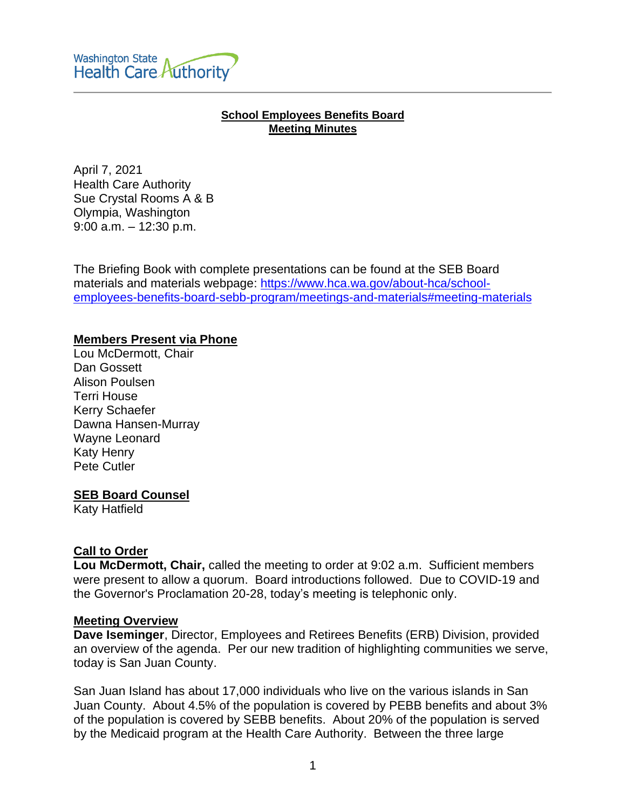#### **School Employees Benefits Board Meeting Minutes**

April 7, 2021 Health Care Authority Sue Crystal Rooms A & B Olympia, Washington 9:00 a.m. – 12:30 p.m.

The Briefing Book with complete presentations can be found at the SEB Board materials and materials webpage: [https://www.hca.wa.gov/about-hca/school](https://www.hca.wa.gov/about-hca/school-employees-benefits-board-sebb-program/meetings-and-materials#meeting-materials)[employees-benefits-board-sebb-program/meetings-and-materials#meeting-materials](https://www.hca.wa.gov/about-hca/school-employees-benefits-board-sebb-program/meetings-and-materials#meeting-materials)

# **Members Present via Phone**

Lou McDermott, Chair Dan Gossett Alison Poulsen Terri House Kerry Schaefer Dawna Hansen-Murray Wayne Leonard Katy Henry Pete Cutler

# **SEB Board Counsel**

Katy Hatfield

# **Call to Order**

**Lou McDermott, Chair,** called the meeting to order at 9:02 a.m. Sufficient members were present to allow a quorum. Board introductions followed. Due to COVID-19 and the Governor's Proclamation 20-28, today's meeting is telephonic only.

# **Meeting Overview**

**Dave Iseminger**, Director, Employees and Retirees Benefits (ERB) Division, provided an overview of the agenda. Per our new tradition of highlighting communities we serve, today is San Juan County.

San Juan Island has about 17,000 individuals who live on the various islands in San Juan County. About 4.5% of the population is covered by PEBB benefits and about 3% of the population is covered by SEBB benefits. About 20% of the population is served by the Medicaid program at the Health Care Authority. Between the three large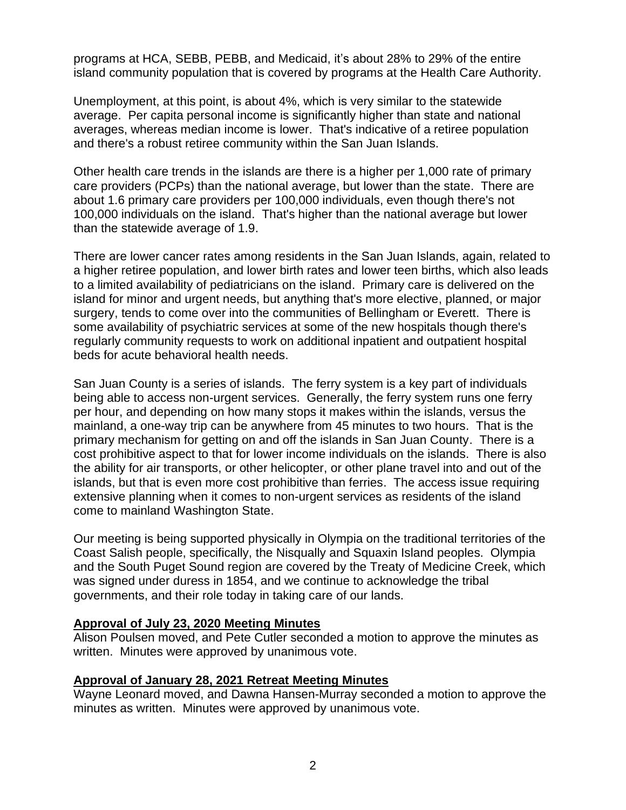programs at HCA, SEBB, PEBB, and Medicaid, it's about 28% to 29% of the entire island community population that is covered by programs at the Health Care Authority.

Unemployment, at this point, is about 4%, which is very similar to the statewide average. Per capita personal income is significantly higher than state and national averages, whereas median income is lower. That's indicative of a retiree population and there's a robust retiree community within the San Juan Islands.

Other health care trends in the islands are there is a higher per 1,000 rate of primary care providers (PCPs) than the national average, but lower than the state. There are about 1.6 primary care providers per 100,000 individuals, even though there's not 100,000 individuals on the island. That's higher than the national average but lower than the statewide average of 1.9.

There are lower cancer rates among residents in the San Juan Islands, again, related to a higher retiree population, and lower birth rates and lower teen births, which also leads to a limited availability of pediatricians on the island. Primary care is delivered on the island for minor and urgent needs, but anything that's more elective, planned, or major surgery, tends to come over into the communities of Bellingham or Everett. There is some availability of psychiatric services at some of the new hospitals though there's regularly community requests to work on additional inpatient and outpatient hospital beds for acute behavioral health needs.

San Juan County is a series of islands. The ferry system is a key part of individuals being able to access non-urgent services. Generally, the ferry system runs one ferry per hour, and depending on how many stops it makes within the islands, versus the mainland, a one-way trip can be anywhere from 45 minutes to two hours. That is the primary mechanism for getting on and off the islands in San Juan County. There is a cost prohibitive aspect to that for lower income individuals on the islands. There is also the ability for air transports, or other helicopter, or other plane travel into and out of the islands, but that is even more cost prohibitive than ferries. The access issue requiring extensive planning when it comes to non-urgent services as residents of the island come to mainland Washington State.

Our meeting is being supported physically in Olympia on the traditional territories of the Coast Salish people, specifically, the Nisqually and Squaxin Island peoples. Olympia and the South Puget Sound region are covered by the Treaty of Medicine Creek, which was signed under duress in 1854, and we continue to acknowledge the tribal governments, and their role today in taking care of our lands.

# **Approval of July 23, 2020 Meeting Minutes**

Alison Poulsen moved, and Pete Cutler seconded a motion to approve the minutes as written. Minutes were approved by unanimous vote.

# **Approval of January 28, 2021 Retreat Meeting Minutes**

Wayne Leonard moved, and Dawna Hansen-Murray seconded a motion to approve the minutes as written. Minutes were approved by unanimous vote.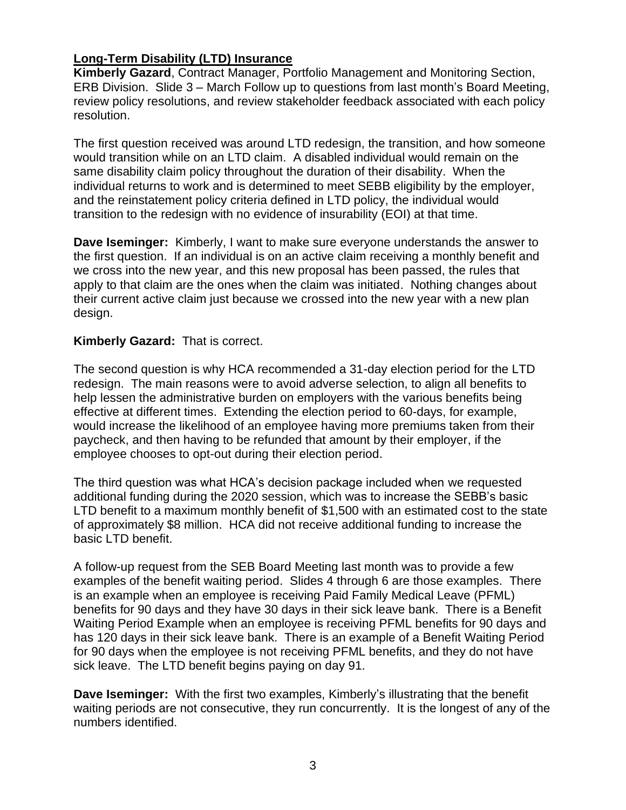# **Long-Term Disability (LTD) Insurance**

**Kimberly Gazard**, Contract Manager, Portfolio Management and Monitoring Section, ERB Division. Slide 3 – March Follow up to questions from last month's Board Meeting, review policy resolutions, and review stakeholder feedback associated with each policy resolution.

The first question received was around LTD redesign, the transition, and how someone would transition while on an LTD claim. A disabled individual would remain on the same disability claim policy throughout the duration of their disability. When the individual returns to work and is determined to meet SEBB eligibility by the employer, and the reinstatement policy criteria defined in LTD policy, the individual would transition to the redesign with no evidence of insurability (EOI) at that time.

**Dave Iseminger:** Kimberly, I want to make sure everyone understands the answer to the first question. If an individual is on an active claim receiving a monthly benefit and we cross into the new year, and this new proposal has been passed, the rules that apply to that claim are the ones when the claim was initiated. Nothing changes about their current active claim just because we crossed into the new year with a new plan design.

# **Kimberly Gazard:** That is correct.

The second question is why HCA recommended a 31-day election period for the LTD redesign. The main reasons were to avoid adverse selection, to align all benefits to help lessen the administrative burden on employers with the various benefits being effective at different times. Extending the election period to 60-days, for example, would increase the likelihood of an employee having more premiums taken from their paycheck, and then having to be refunded that amount by their employer, if the employee chooses to opt-out during their election period.

The third question was what HCA's decision package included when we requested additional funding during the 2020 session, which was to increase the SEBB's basic LTD benefit to a maximum monthly benefit of \$1,500 with an estimated cost to the state of approximately \$8 million. HCA did not receive additional funding to increase the basic LTD benefit.

A follow-up request from the SEB Board Meeting last month was to provide a few examples of the benefit waiting period. Slides 4 through 6 are those examples. There is an example when an employee is receiving Paid Family Medical Leave (PFML) benefits for 90 days and they have 30 days in their sick leave bank. There is a Benefit Waiting Period Example when an employee is receiving PFML benefits for 90 days and has 120 days in their sick leave bank. There is an example of a Benefit Waiting Period for 90 days when the employee is not receiving PFML benefits, and they do not have sick leave. The LTD benefit begins paying on day 91.

**Dave Iseminger:** With the first two examples, Kimberly's illustrating that the benefit waiting periods are not consecutive, they run concurrently. It is the longest of any of the numbers identified.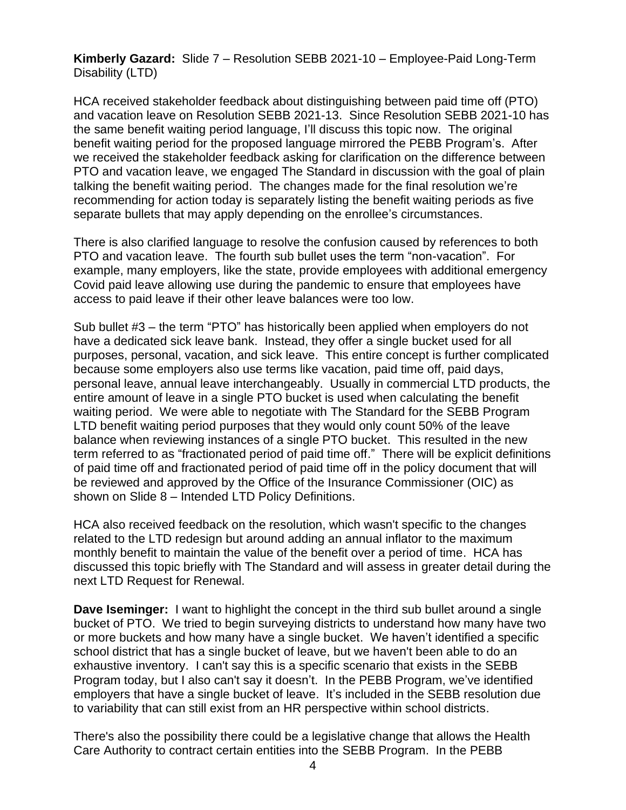**Kimberly Gazard:** Slide 7 – Resolution SEBB 2021-10 – Employee-Paid Long-Term Disability (LTD)

HCA received stakeholder feedback about distinguishing between paid time off (PTO) and vacation leave on Resolution SEBB 2021-13. Since Resolution SEBB 2021-10 has the same benefit waiting period language, I'll discuss this topic now. The original benefit waiting period for the proposed language mirrored the PEBB Program's. After we received the stakeholder feedback asking for clarification on the difference between PTO and vacation leave, we engaged The Standard in discussion with the goal of plain talking the benefit waiting period. The changes made for the final resolution we're recommending for action today is separately listing the benefit waiting periods as five separate bullets that may apply depending on the enrollee's circumstances.

There is also clarified language to resolve the confusion caused by references to both PTO and vacation leave. The fourth sub bullet uses the term "non-vacation". For example, many employers, like the state, provide employees with additional emergency Covid paid leave allowing use during the pandemic to ensure that employees have access to paid leave if their other leave balances were too low.

Sub bullet #3 – the term "PTO" has historically been applied when employers do not have a dedicated sick leave bank. Instead, they offer a single bucket used for all purposes, personal, vacation, and sick leave. This entire concept is further complicated because some employers also use terms like vacation, paid time off, paid days, personal leave, annual leave interchangeably. Usually in commercial LTD products, the entire amount of leave in a single PTO bucket is used when calculating the benefit waiting period. We were able to negotiate with The Standard for the SEBB Program LTD benefit waiting period purposes that they would only count 50% of the leave balance when reviewing instances of a single PTO bucket. This resulted in the new term referred to as "fractionated period of paid time off." There will be explicit definitions of paid time off and fractionated period of paid time off in the policy document that will be reviewed and approved by the Office of the Insurance Commissioner (OIC) as shown on Slide 8 – Intended LTD Policy Definitions.

HCA also received feedback on the resolution, which wasn't specific to the changes related to the LTD redesign but around adding an annual inflator to the maximum monthly benefit to maintain the value of the benefit over a period of time. HCA has discussed this topic briefly with The Standard and will assess in greater detail during the next LTD Request for Renewal.

**Dave Iseminger:** I want to highlight the concept in the third sub bullet around a single bucket of PTO. We tried to begin surveying districts to understand how many have two or more buckets and how many have a single bucket. We haven't identified a specific school district that has a single bucket of leave, but we haven't been able to do an exhaustive inventory. I can't say this is a specific scenario that exists in the SEBB Program today, but I also can't say it doesn't. In the PEBB Program, we've identified employers that have a single bucket of leave. It's included in the SEBB resolution due to variability that can still exist from an HR perspective within school districts.

There's also the possibility there could be a legislative change that allows the Health Care Authority to contract certain entities into the SEBB Program. In the PEBB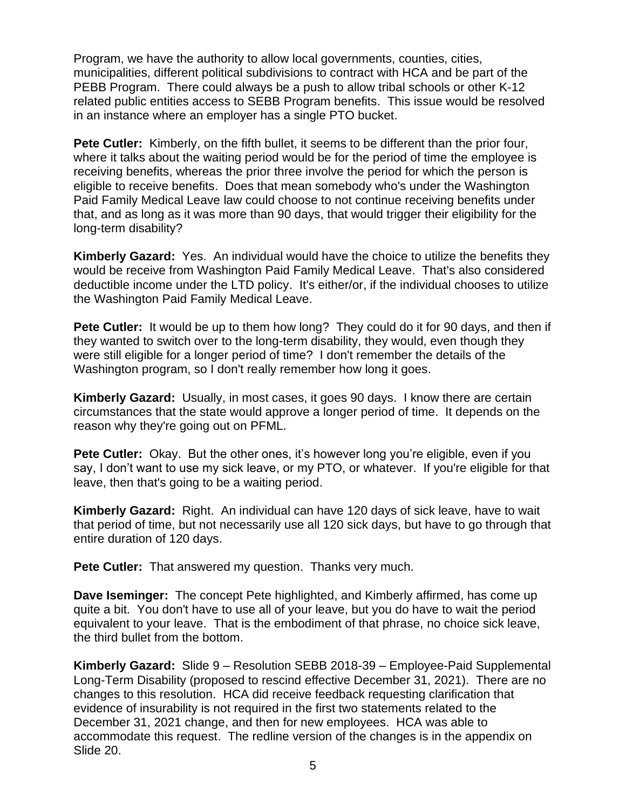Program, we have the authority to allow local governments, counties, cities, municipalities, different political subdivisions to contract with HCA and be part of the PEBB Program. There could always be a push to allow tribal schools or other K-12 related public entities access to SEBB Program benefits. This issue would be resolved in an instance where an employer has a single PTO bucket.

**Pete Cutler:** Kimberly, on the fifth bullet, it seems to be different than the prior four, where it talks about the waiting period would be for the period of time the employee is receiving benefits, whereas the prior three involve the period for which the person is eligible to receive benefits. Does that mean somebody who's under the Washington Paid Family Medical Leave law could choose to not continue receiving benefits under that, and as long as it was more than 90 days, that would trigger their eligibility for the long-term disability?

**Kimberly Gazard:** Yes. An individual would have the choice to utilize the benefits they would be receive from Washington Paid Family Medical Leave. That's also considered deductible income under the LTD policy. It's either/or, if the individual chooses to utilize the Washington Paid Family Medical Leave.

**Pete Cutler:** It would be up to them how long? They could do it for 90 days, and then if they wanted to switch over to the long-term disability, they would, even though they were still eligible for a longer period of time? I don't remember the details of the Washington program, so I don't really remember how long it goes.

**Kimberly Gazard:** Usually, in most cases, it goes 90 days. I know there are certain circumstances that the state would approve a longer period of time. It depends on the reason why they're going out on PFML.

**Pete Cutler:** Okay. But the other ones, it's however long you're eligible, even if you say, I don't want to use my sick leave, or my PTO, or whatever. If you're eligible for that leave, then that's going to be a waiting period.

**Kimberly Gazard:** Right. An individual can have 120 days of sick leave, have to wait that period of time, but not necessarily use all 120 sick days, but have to go through that entire duration of 120 days.

**Pete Cutler:** That answered my question. Thanks very much.

**Dave Iseminger:** The concept Pete highlighted, and Kimberly affirmed, has come up quite a bit. You don't have to use all of your leave, but you do have to wait the period equivalent to your leave. That is the embodiment of that phrase, no choice sick leave, the third bullet from the bottom.

**Kimberly Gazard:** Slide 9 – Resolution SEBB 2018-39 – Employee-Paid Supplemental Long-Term Disability (proposed to rescind effective December 31, 2021). There are no changes to this resolution. HCA did receive feedback requesting clarification that evidence of insurability is not required in the first two statements related to the December 31, 2021 change, and then for new employees. HCA was able to accommodate this request. The redline version of the changes is in the appendix on Slide 20.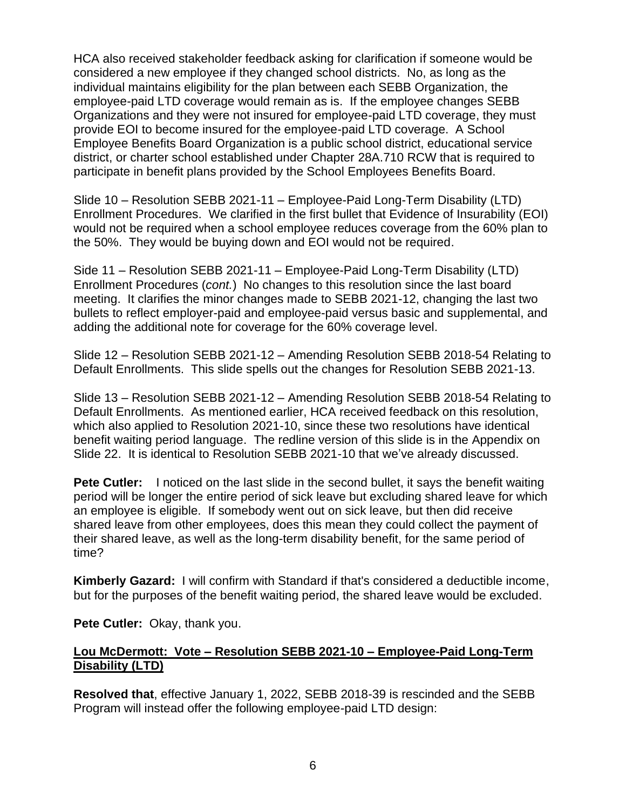HCA also received stakeholder feedback asking for clarification if someone would be considered a new employee if they changed school districts. No, as long as the individual maintains eligibility for the plan between each SEBB Organization, the employee-paid LTD coverage would remain as is. If the employee changes SEBB Organizations and they were not insured for employee-paid LTD coverage, they must provide EOI to become insured for the employee-paid LTD coverage. A School Employee Benefits Board Organization is a public school district, educational service district, or charter school established under Chapter 28A.710 RCW that is required to participate in benefit plans provided by the School Employees Benefits Board.

Slide 10 – Resolution SEBB 2021-11 – Employee-Paid Long-Term Disability (LTD) Enrollment Procedures. We clarified in the first bullet that Evidence of Insurability (EOI) would not be required when a school employee reduces coverage from the 60% plan to the 50%. They would be buying down and EOI would not be required.

Side 11 – Resolution SEBB 2021-11 – Employee-Paid Long-Term Disability (LTD) Enrollment Procedures (*cont.*) No changes to this resolution since the last board meeting. It clarifies the minor changes made to SEBB 2021-12, changing the last two bullets to reflect employer-paid and employee-paid versus basic and supplemental, and adding the additional note for coverage for the 60% coverage level.

Slide 12 – Resolution SEBB 2021-12 – Amending Resolution SEBB 2018-54 Relating to Default Enrollments. This slide spells out the changes for Resolution SEBB 2021-13.

Slide 13 – Resolution SEBB 2021-12 – Amending Resolution SEBB 2018-54 Relating to Default Enrollments. As mentioned earlier, HCA received feedback on this resolution, which also applied to Resolution 2021-10, since these two resolutions have identical benefit waiting period language. The redline version of this slide is in the Appendix on Slide 22. It is identical to Resolution SEBB 2021-10 that we've already discussed.

**Pete Cutler:** I noticed on the last slide in the second bullet, it says the benefit waiting period will be longer the entire period of sick leave but excluding shared leave for which an employee is eligible. If somebody went out on sick leave, but then did receive shared leave from other employees, does this mean they could collect the payment of their shared leave, as well as the long-term disability benefit, for the same period of time?

**Kimberly Gazard:** I will confirm with Standard if that's considered a deductible income, but for the purposes of the benefit waiting period, the shared leave would be excluded.

**Pete Cutler:** Okay, thank you.

# **Lou McDermott: Vote – Resolution SEBB 2021-10 – Employee-Paid Long-Term Disability (LTD)**

**Resolved that**, effective January 1, 2022, SEBB 2018-39 is rescinded and the SEBB Program will instead offer the following employee-paid LTD design: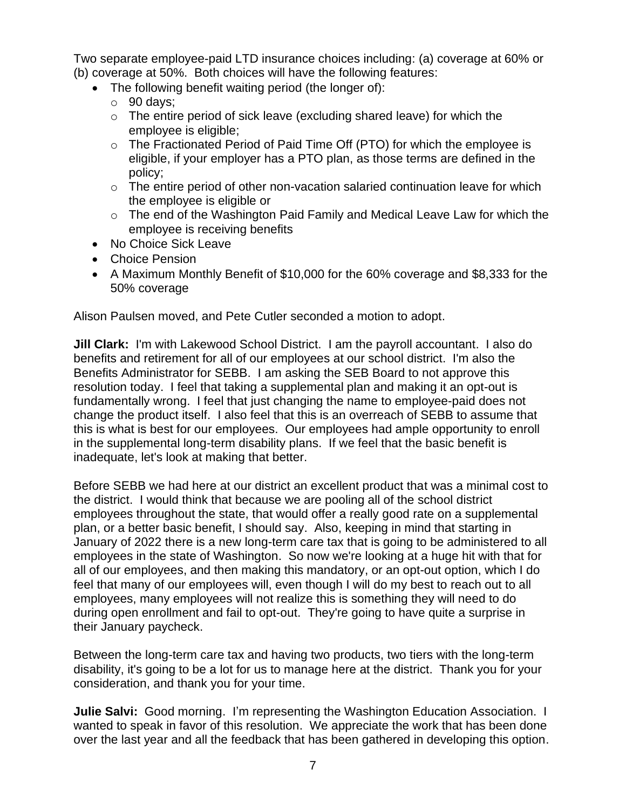Two separate employee-paid LTD insurance choices including: (a) coverage at 60% or (b) coverage at 50%. Both choices will have the following features:

- The following benefit waiting period (the longer of):
	- $\circ$  90 days;
	- $\circ$  The entire period of sick leave (excluding shared leave) for which the employee is eligible;
	- o The Fractionated Period of Paid Time Off (PTO) for which the employee is eligible, if your employer has a PTO plan, as those terms are defined in the policy;
	- o The entire period of other non-vacation salaried continuation leave for which the employee is eligible or
	- o The end of the Washington Paid Family and Medical Leave Law for which the employee is receiving benefits
- No Choice Sick Leave
- Choice Pension
- A Maximum Monthly Benefit of \$10,000 for the 60% coverage and \$8,333 for the 50% coverage

Alison Paulsen moved, and Pete Cutler seconded a motion to adopt.

**Jill Clark:** I'm with Lakewood School District. I am the payroll accountant. I also do benefits and retirement for all of our employees at our school district. I'm also the Benefits Administrator for SEBB. I am asking the SEB Board to not approve this resolution today. I feel that taking a supplemental plan and making it an opt-out is fundamentally wrong. I feel that just changing the name to employee-paid does not change the product itself. I also feel that this is an overreach of SEBB to assume that this is what is best for our employees. Our employees had ample opportunity to enroll in the supplemental long-term disability plans. If we feel that the basic benefit is inadequate, let's look at making that better.

Before SEBB we had here at our district an excellent product that was a minimal cost to the district. I would think that because we are pooling all of the school district employees throughout the state, that would offer a really good rate on a supplemental plan, or a better basic benefit, I should say. Also, keeping in mind that starting in January of 2022 there is a new long-term care tax that is going to be administered to all employees in the state of Washington. So now we're looking at a huge hit with that for all of our employees, and then making this mandatory, or an opt-out option, which I do feel that many of our employees will, even though I will do my best to reach out to all employees, many employees will not realize this is something they will need to do during open enrollment and fail to opt-out. They're going to have quite a surprise in their January paycheck.

Between the long-term care tax and having two products, two tiers with the long-term disability, it's going to be a lot for us to manage here at the district. Thank you for your consideration, and thank you for your time.

**Julie Salvi:** Good morning. I'm representing the Washington Education Association. I wanted to speak in favor of this resolution. We appreciate the work that has been done over the last year and all the feedback that has been gathered in developing this option.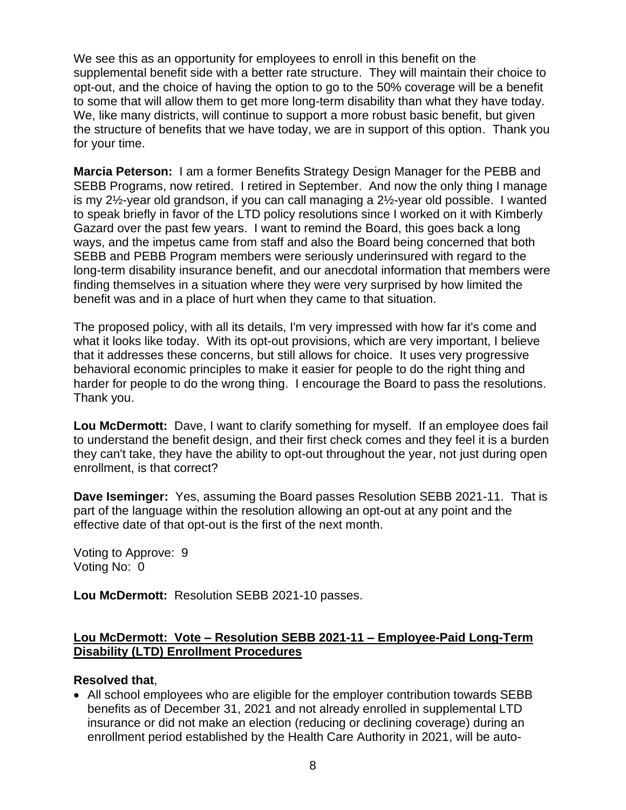We see this as an opportunity for employees to enroll in this benefit on the supplemental benefit side with a better rate structure. They will maintain their choice to opt-out, and the choice of having the option to go to the 50% coverage will be a benefit to some that will allow them to get more long-term disability than what they have today. We, like many districts, will continue to support a more robust basic benefit, but given the structure of benefits that we have today, we are in support of this option. Thank you for your time.

**Marcia Peterson:** I am a former Benefits Strategy Design Manager for the PEBB and SEBB Programs, now retired. I retired in September. And now the only thing I manage is my 2½-year old grandson, if you can call managing a 2½-year old possible. I wanted to speak briefly in favor of the LTD policy resolutions since I worked on it with Kimberly Gazard over the past few years. I want to remind the Board, this goes back a long ways, and the impetus came from staff and also the Board being concerned that both SEBB and PEBB Program members were seriously underinsured with regard to the long-term disability insurance benefit, and our anecdotal information that members were finding themselves in a situation where they were very surprised by how limited the benefit was and in a place of hurt when they came to that situation.

The proposed policy, with all its details, I'm very impressed with how far it's come and what it looks like today. With its opt-out provisions, which are very important, I believe that it addresses these concerns, but still allows for choice. It uses very progressive behavioral economic principles to make it easier for people to do the right thing and harder for people to do the wrong thing. I encourage the Board to pass the resolutions. Thank you.

**Lou McDermott:** Dave, I want to clarify something for myself. If an employee does fail to understand the benefit design, and their first check comes and they feel it is a burden they can't take, they have the ability to opt-out throughout the year, not just during open enrollment, is that correct?

**Dave Iseminger:** Yes, assuming the Board passes Resolution SEBB 2021-11. That is part of the language within the resolution allowing an opt-out at any point and the effective date of that opt-out is the first of the next month.

Voting to Approve: 9 Voting No: 0

**Lou McDermott:** Resolution SEBB 2021-10 passes.

# **Lou McDermott: Vote – Resolution SEBB 2021-11 – Employee-Paid Long-Term Disability (LTD) Enrollment Procedures**

# **Resolved that**,

• All school employees who are eligible for the employer contribution towards SEBB benefits as of December 31, 2021 and not already enrolled in supplemental LTD insurance or did not make an election (reducing or declining coverage) during an enrollment period established by the Health Care Authority in 2021, will be auto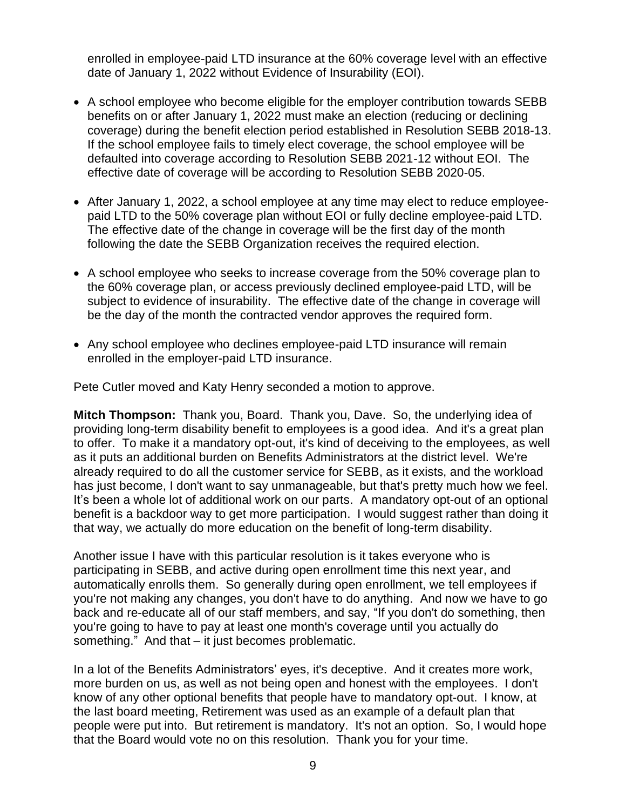enrolled in employee-paid LTD insurance at the 60% coverage level with an effective date of January 1, 2022 without Evidence of Insurability (EOI).

- A school employee who become eligible for the employer contribution towards SEBB benefits on or after January 1, 2022 must make an election (reducing or declining coverage) during the benefit election period established in Resolution SEBB 2018-13. If the school employee fails to timely elect coverage, the school employee will be defaulted into coverage according to Resolution SEBB 2021-12 without EOI. The effective date of coverage will be according to Resolution SEBB 2020-05.
- After January 1, 2022, a school employee at any time may elect to reduce employeepaid LTD to the 50% coverage plan without EOI or fully decline employee-paid LTD. The effective date of the change in coverage will be the first day of the month following the date the SEBB Organization receives the required election.
- A school employee who seeks to increase coverage from the 50% coverage plan to the 60% coverage plan, or access previously declined employee-paid LTD, will be subject to evidence of insurability. The effective date of the change in coverage will be the day of the month the contracted vendor approves the required form.
- Any school employee who declines employee-paid LTD insurance will remain enrolled in the employer-paid LTD insurance.

Pete Cutler moved and Katy Henry seconded a motion to approve.

**Mitch Thompson:** Thank you, Board. Thank you, Dave. So, the underlying idea of providing long-term disability benefit to employees is a good idea. And it's a great plan to offer. To make it a mandatory opt-out, it's kind of deceiving to the employees, as well as it puts an additional burden on Benefits Administrators at the district level. We're already required to do all the customer service for SEBB, as it exists, and the workload has just become, I don't want to say unmanageable, but that's pretty much how we feel. It's been a whole lot of additional work on our parts. A mandatory opt-out of an optional benefit is a backdoor way to get more participation. I would suggest rather than doing it that way, we actually do more education on the benefit of long-term disability.

Another issue I have with this particular resolution is it takes everyone who is participating in SEBB, and active during open enrollment time this next year, and automatically enrolls them. So generally during open enrollment, we tell employees if you're not making any changes, you don't have to do anything. And now we have to go back and re-educate all of our staff members, and say, "If you don't do something, then you're going to have to pay at least one month's coverage until you actually do something." And that – it just becomes problematic.

In a lot of the Benefits Administrators' eyes, it's deceptive. And it creates more work, more burden on us, as well as not being open and honest with the employees. I don't know of any other optional benefits that people have to mandatory opt-out. I know, at the last board meeting, Retirement was used as an example of a default plan that people were put into. But retirement is mandatory. It's not an option. So, I would hope that the Board would vote no on this resolution. Thank you for your time.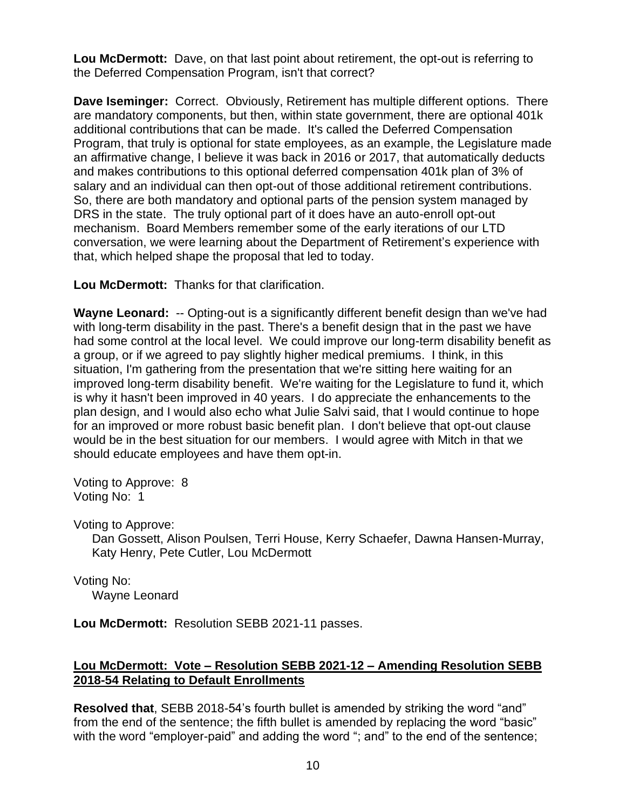**Lou McDermott:** Dave, on that last point about retirement, the opt-out is referring to the Deferred Compensation Program, isn't that correct?

**Dave Iseminger:** Correct. Obviously, Retirement has multiple different options. There are mandatory components, but then, within state government, there are optional 401k additional contributions that can be made. It's called the Deferred Compensation Program, that truly is optional for state employees, as an example, the Legislature made an affirmative change, I believe it was back in 2016 or 2017, that automatically deducts and makes contributions to this optional deferred compensation 401k plan of 3% of salary and an individual can then opt-out of those additional retirement contributions. So, there are both mandatory and optional parts of the pension system managed by DRS in the state. The truly optional part of it does have an auto-enroll opt-out mechanism. Board Members remember some of the early iterations of our LTD conversation, we were learning about the Department of Retirement's experience with that, which helped shape the proposal that led to today.

**Lou McDermott:** Thanks for that clarification.

**Wayne Leonard:** -- Opting-out is a significantly different benefit design than we've had with long-term disability in the past. There's a benefit design that in the past we have had some control at the local level. We could improve our long-term disability benefit as a group, or if we agreed to pay slightly higher medical premiums. I think, in this situation, I'm gathering from the presentation that we're sitting here waiting for an improved long-term disability benefit. We're waiting for the Legislature to fund it, which is why it hasn't been improved in 40 years. I do appreciate the enhancements to the plan design, and I would also echo what Julie Salvi said, that I would continue to hope for an improved or more robust basic benefit plan. I don't believe that opt-out clause would be in the best situation for our members. I would agree with Mitch in that we should educate employees and have them opt-in.

Voting to Approve: 8 Voting No: 1

Voting to Approve:

Dan Gossett, Alison Poulsen, Terri House, Kerry Schaefer, Dawna Hansen-Murray, Katy Henry, Pete Cutler, Lou McDermott

Voting No: Wayne Leonard

**Lou McDermott:** Resolution SEBB 2021-11 passes.

# **Lou McDermott: Vote – Resolution SEBB 2021-12 – Amending Resolution SEBB 2018-54 Relating to Default Enrollments**

**Resolved that**, SEBB 2018-54's fourth bullet is amended by striking the word "and" from the end of the sentence; the fifth bullet is amended by replacing the word "basic" with the word "employer-paid" and adding the word "; and" to the end of the sentence;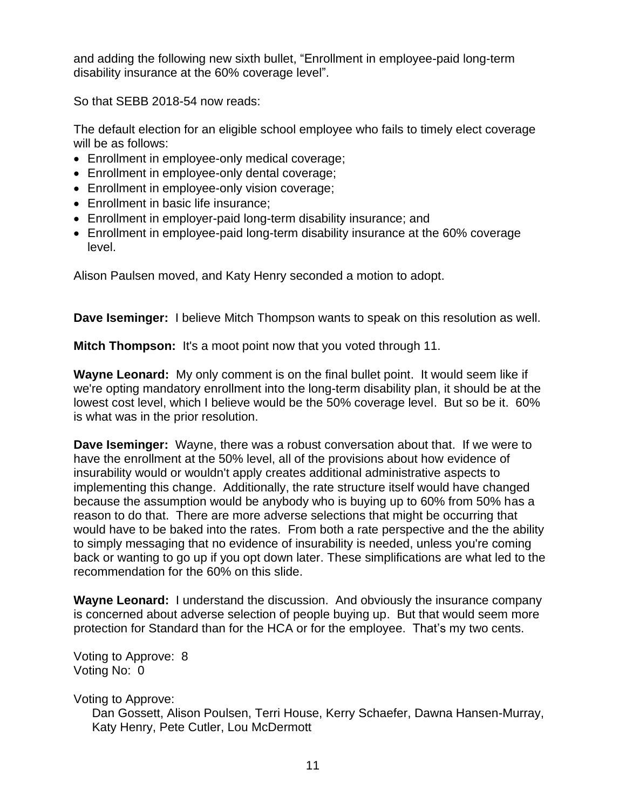and adding the following new sixth bullet, "Enrollment in employee-paid long-term disability insurance at the 60% coverage level".

So that SEBB 2018-54 now reads:

The default election for an eligible school employee who fails to timely elect coverage will be as follows:

- Enrollment in employee-only medical coverage;
- Enrollment in employee-only dental coverage;
- Enrollment in employee-only vision coverage;
- Enrollment in basic life insurance;
- Enrollment in employer-paid long-term disability insurance; and
- Enrollment in employee-paid long-term disability insurance at the 60% coverage level.

Alison Paulsen moved, and Katy Henry seconded a motion to adopt.

**Dave Iseminger:** I believe Mitch Thompson wants to speak on this resolution as well.

**Mitch Thompson:** It's a moot point now that you voted through 11.

**Wayne Leonard:** My only comment is on the final bullet point. It would seem like if we're opting mandatory enrollment into the long-term disability plan, it should be at the lowest cost level, which I believe would be the 50% coverage level. But so be it. 60% is what was in the prior resolution.

**Dave Iseminger:** Wayne, there was a robust conversation about that. If we were to have the enrollment at the 50% level, all of the provisions about how evidence of insurability would or wouldn't apply creates additional administrative aspects to implementing this change. Additionally, the rate structure itself would have changed because the assumption would be anybody who is buying up to 60% from 50% has a reason to do that. There are more adverse selections that might be occurring that would have to be baked into the rates. From both a rate perspective and the the ability to simply messaging that no evidence of insurability is needed, unless you're coming back or wanting to go up if you opt down later. These simplifications are what led to the recommendation for the 60% on this slide.

**Wayne Leonard:** I understand the discussion. And obviously the insurance company is concerned about adverse selection of people buying up. But that would seem more protection for Standard than for the HCA or for the employee. That's my two cents.

Voting to Approve: 8 Voting No: 0

Voting to Approve:

Dan Gossett, Alison Poulsen, Terri House, Kerry Schaefer, Dawna Hansen-Murray, Katy Henry, Pete Cutler, Lou McDermott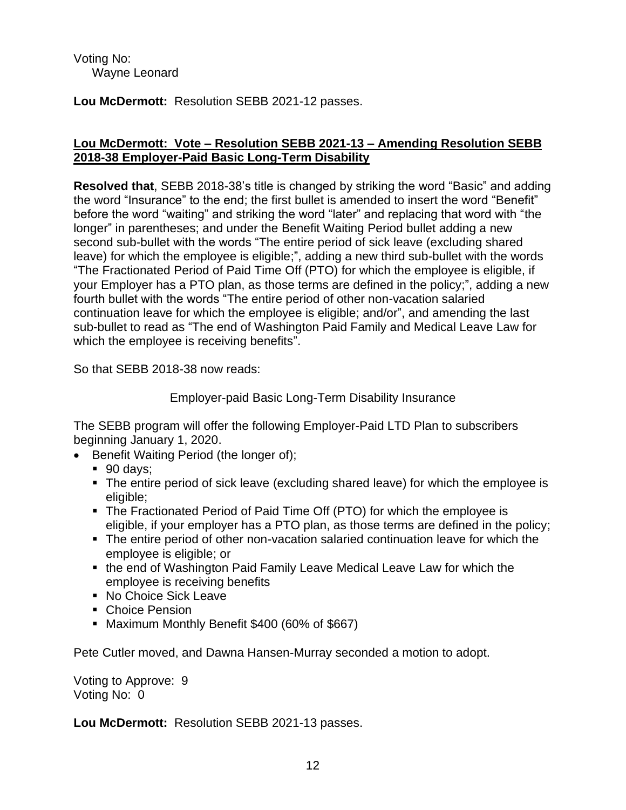Voting No: Wayne Leonard

**Lou McDermott:** Resolution SEBB 2021-12 passes.

# **Lou McDermott: Vote – Resolution SEBB 2021-13 – Amending Resolution SEBB 2018-38 Employer-Paid Basic Long-Term Disability**

**Resolved that**, SEBB 2018-38's title is changed by striking the word "Basic" and adding the word "Insurance" to the end; the first bullet is amended to insert the word "Benefit" before the word "waiting" and striking the word "later" and replacing that word with "the longer" in parentheses; and under the Benefit Waiting Period bullet adding a new second sub-bullet with the words "The entire period of sick leave (excluding shared leave) for which the employee is eligible;", adding a new third sub-bullet with the words "The Fractionated Period of Paid Time Off (PTO) for which the employee is eligible, if your Employer has a PTO plan, as those terms are defined in the policy;", adding a new fourth bullet with the words "The entire period of other non-vacation salaried continuation leave for which the employee is eligible; and/or", and amending the last sub-bullet to read as "The end of Washington Paid Family and Medical Leave Law for which the employee is receiving benefits".

So that SEBB 2018-38 now reads:

Employer-paid Basic Long-Term Disability Insurance

The SEBB program will offer the following Employer-Paid LTD Plan to subscribers beginning January 1, 2020.

- Benefit Waiting Period (the longer of);
	- 90 days:
	- The entire period of sick leave (excluding shared leave) for which the employee is eligible;
	- The Fractionated Period of Paid Time Off (PTO) for which the employee is eligible, if your employer has a PTO plan, as those terms are defined in the policy;
	- The entire period of other non-vacation salaried continuation leave for which the employee is eligible; or
	- the end of Washington Paid Family Leave Medical Leave Law for which the employee is receiving benefits
	- No Choice Sick Leave
	- Choice Pension
	- Maximum Monthly Benefit \$400 (60% of \$667)

Pete Cutler moved, and Dawna Hansen-Murray seconded a motion to adopt.

Voting to Approve: 9 Voting No: 0

**Lou McDermott:** Resolution SEBB 2021-13 passes.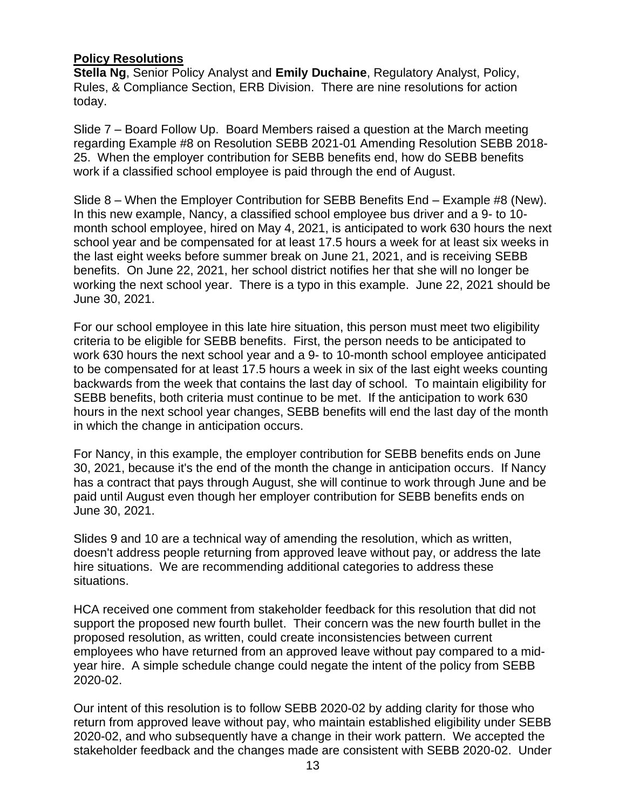# **Policy Resolutions**

**Stella Ng**, Senior Policy Analyst and **Emily Duchaine**, Regulatory Analyst, Policy, Rules, & Compliance Section, ERB Division. There are nine resolutions for action today.

Slide 7 – Board Follow Up. Board Members raised a question at the March meeting regarding Example #8 on Resolution SEBB 2021-01 Amending Resolution SEBB 2018- 25. When the employer contribution for SEBB benefits end, how do SEBB benefits work if a classified school employee is paid through the end of August.

Slide 8 – When the Employer Contribution for SEBB Benefits End – Example #8 (New). In this new example, Nancy, a classified school employee bus driver and a 9- to 10 month school employee, hired on May 4, 2021, is anticipated to work 630 hours the next school year and be compensated for at least 17.5 hours a week for at least six weeks in the last eight weeks before summer break on June 21, 2021, and is receiving SEBB benefits. On June 22, 2021, her school district notifies her that she will no longer be working the next school year. There is a typo in this example. June 22, 2021 should be June 30, 2021.

For our school employee in this late hire situation, this person must meet two eligibility criteria to be eligible for SEBB benefits. First, the person needs to be anticipated to work 630 hours the next school year and a 9- to 10-month school employee anticipated to be compensated for at least 17.5 hours a week in six of the last eight weeks counting backwards from the week that contains the last day of school. To maintain eligibility for SEBB benefits, both criteria must continue to be met. If the anticipation to work 630 hours in the next school year changes, SEBB benefits will end the last day of the month in which the change in anticipation occurs.

For Nancy, in this example, the employer contribution for SEBB benefits ends on June 30, 2021, because it's the end of the month the change in anticipation occurs. If Nancy has a contract that pays through August, she will continue to work through June and be paid until August even though her employer contribution for SEBB benefits ends on June 30, 2021.

Slides 9 and 10 are a technical way of amending the resolution, which as written, doesn't address people returning from approved leave without pay, or address the late hire situations. We are recommending additional categories to address these situations.

HCA received one comment from stakeholder feedback for this resolution that did not support the proposed new fourth bullet. Their concern was the new fourth bullet in the proposed resolution, as written, could create inconsistencies between current employees who have returned from an approved leave without pay compared to a midyear hire. A simple schedule change could negate the intent of the policy from SEBB 2020-02.

Our intent of this resolution is to follow SEBB 2020-02 by adding clarity for those who return from approved leave without pay, who maintain established eligibility under SEBB 2020-02, and who subsequently have a change in their work pattern. We accepted the stakeholder feedback and the changes made are consistent with SEBB 2020-02. Under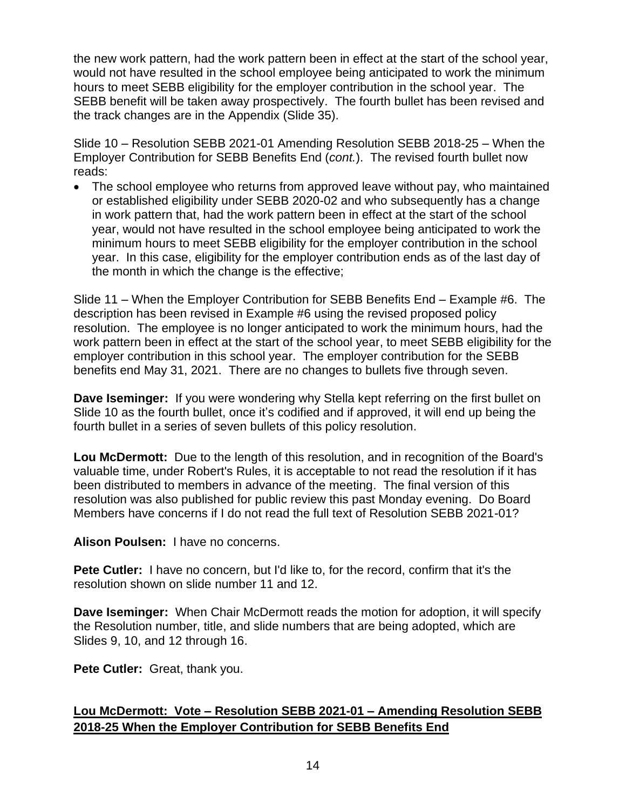the new work pattern, had the work pattern been in effect at the start of the school year, would not have resulted in the school employee being anticipated to work the minimum hours to meet SEBB eligibility for the employer contribution in the school year. The SEBB benefit will be taken away prospectively. The fourth bullet has been revised and the track changes are in the Appendix (Slide 35).

Slide 10 – Resolution SEBB 2021-01 Amending Resolution SEBB 2018-25 – When the Employer Contribution for SEBB Benefits End (*cont.*). The revised fourth bullet now reads:

• The school employee who returns from approved leave without pay, who maintained or established eligibility under SEBB 2020-02 and who subsequently has a change in work pattern that, had the work pattern been in effect at the start of the school year, would not have resulted in the school employee being anticipated to work the minimum hours to meet SEBB eligibility for the employer contribution in the school year. In this case, eligibility for the employer contribution ends as of the last day of the month in which the change is the effective;

Slide 11 – When the Employer Contribution for SEBB Benefits End – Example #6. The description has been revised in Example #6 using the revised proposed policy resolution. The employee is no longer anticipated to work the minimum hours, had the work pattern been in effect at the start of the school year, to meet SEBB eligibility for the employer contribution in this school year. The employer contribution for the SEBB benefits end May 31, 2021. There are no changes to bullets five through seven.

**Dave Iseminger:** If you were wondering why Stella kept referring on the first bullet on Slide 10 as the fourth bullet, once it's codified and if approved, it will end up being the fourth bullet in a series of seven bullets of this policy resolution.

**Lou McDermott:** Due to the length of this resolution, and in recognition of the Board's valuable time, under Robert's Rules, it is acceptable to not read the resolution if it has been distributed to members in advance of the meeting. The final version of this resolution was also published for public review this past Monday evening. Do Board Members have concerns if I do not read the full text of Resolution SEBB 2021-01?

**Alison Poulsen:** I have no concerns.

**Pete Cutler:** I have no concern, but I'd like to, for the record, confirm that it's the resolution shown on slide number 11 and 12.

**Dave Iseminger:** When Chair McDermott reads the motion for adoption, it will specify the Resolution number, title, and slide numbers that are being adopted, which are Slides 9, 10, and 12 through 16.

**Pete Cutler:** Great, thank you.

# **Lou McDermott: Vote – Resolution SEBB 2021-01 – Amending Resolution SEBB 2018-25 When the Employer Contribution for SEBB Benefits End**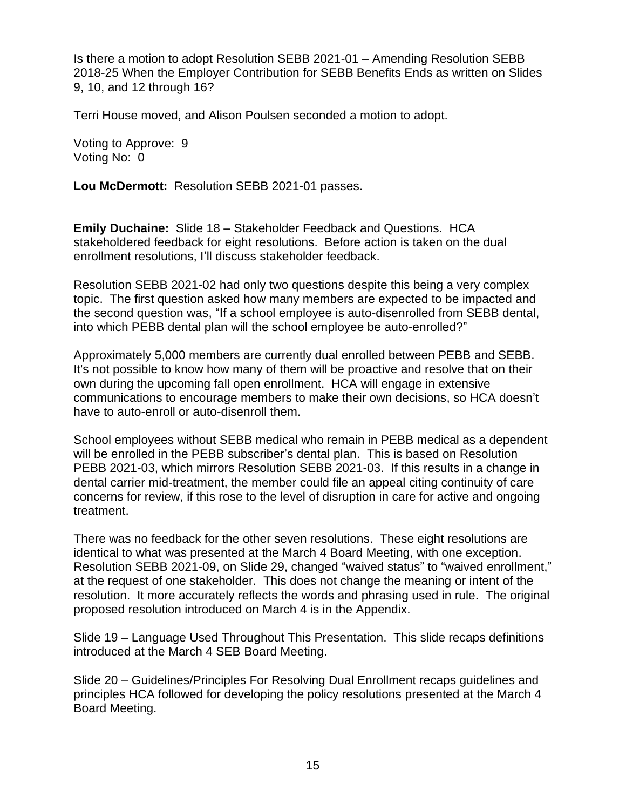Is there a motion to adopt Resolution SEBB 2021-01 – Amending Resolution SEBB 2018-25 When the Employer Contribution for SEBB Benefits Ends as written on Slides 9, 10, and 12 through 16?

Terri House moved, and Alison Poulsen seconded a motion to adopt.

Voting to Approve: 9 Voting No: 0

**Lou McDermott:** Resolution SEBB 2021-01 passes.

**Emily Duchaine:** Slide 18 – Stakeholder Feedback and Questions. HCA stakeholdered feedback for eight resolutions. Before action is taken on the dual enrollment resolutions, I'll discuss stakeholder feedback.

Resolution SEBB 2021-02 had only two questions despite this being a very complex topic. The first question asked how many members are expected to be impacted and the second question was, "If a school employee is auto-disenrolled from SEBB dental, into which PEBB dental plan will the school employee be auto-enrolled?"

Approximately 5,000 members are currently dual enrolled between PEBB and SEBB. It's not possible to know how many of them will be proactive and resolve that on their own during the upcoming fall open enrollment. HCA will engage in extensive communications to encourage members to make their own decisions, so HCA doesn't have to auto-enroll or auto-disenroll them.

School employees without SEBB medical who remain in PEBB medical as a dependent will be enrolled in the PEBB subscriber's dental plan. This is based on Resolution PEBB 2021-03, which mirrors Resolution SEBB 2021-03. If this results in a change in dental carrier mid-treatment, the member could file an appeal citing continuity of care concerns for review, if this rose to the level of disruption in care for active and ongoing treatment.

There was no feedback for the other seven resolutions. These eight resolutions are identical to what was presented at the March 4 Board Meeting, with one exception. Resolution SEBB 2021-09, on Slide 29, changed "waived status" to "waived enrollment," at the request of one stakeholder. This does not change the meaning or intent of the resolution. It more accurately reflects the words and phrasing used in rule. The original proposed resolution introduced on March 4 is in the Appendix.

Slide 19 – Language Used Throughout This Presentation. This slide recaps definitions introduced at the March 4 SEB Board Meeting.

Slide 20 – Guidelines/Principles For Resolving Dual Enrollment recaps guidelines and principles HCA followed for developing the policy resolutions presented at the March 4 Board Meeting.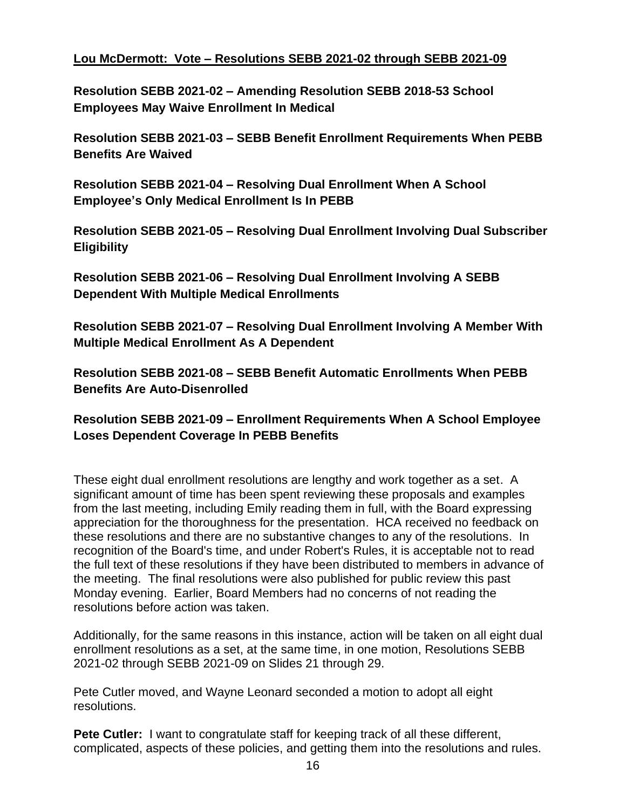# **Lou McDermott: Vote – Resolutions SEBB 2021-02 through SEBB 2021-09**

**Resolution SEBB 2021-02 – Amending Resolution SEBB 2018-53 School Employees May Waive Enrollment In Medical**

**Resolution SEBB 2021-03 – SEBB Benefit Enrollment Requirements When PEBB Benefits Are Waived**

**Resolution SEBB 2021-04 – Resolving Dual Enrollment When A School Employee's Only Medical Enrollment Is In PEBB**

**Resolution SEBB 2021-05 – Resolving Dual Enrollment Involving Dual Subscriber Eligibility**

**Resolution SEBB 2021-06 – Resolving Dual Enrollment Involving A SEBB Dependent With Multiple Medical Enrollments**

**Resolution SEBB 2021-07 – Resolving Dual Enrollment Involving A Member With Multiple Medical Enrollment As A Dependent**

**Resolution SEBB 2021-08 – SEBB Benefit Automatic Enrollments When PEBB Benefits Are Auto-Disenrolled**

**Resolution SEBB 2021-09 – Enrollment Requirements When A School Employee Loses Dependent Coverage In PEBB Benefits**

These eight dual enrollment resolutions are lengthy and work together as a set. A significant amount of time has been spent reviewing these proposals and examples from the last meeting, including Emily reading them in full, with the Board expressing appreciation for the thoroughness for the presentation. HCA received no feedback on these resolutions and there are no substantive changes to any of the resolutions. In recognition of the Board's time, and under Robert's Rules, it is acceptable not to read the full text of these resolutions if they have been distributed to members in advance of the meeting. The final resolutions were also published for public review this past Monday evening. Earlier, Board Members had no concerns of not reading the resolutions before action was taken.

Additionally, for the same reasons in this instance, action will be taken on all eight dual enrollment resolutions as a set, at the same time, in one motion, Resolutions SEBB 2021-02 through SEBB 2021-09 on Slides 21 through 29.

Pete Cutler moved, and Wayne Leonard seconded a motion to adopt all eight resolutions.

**Pete Cutler:** I want to congratulate staff for keeping track of all these different, complicated, aspects of these policies, and getting them into the resolutions and rules.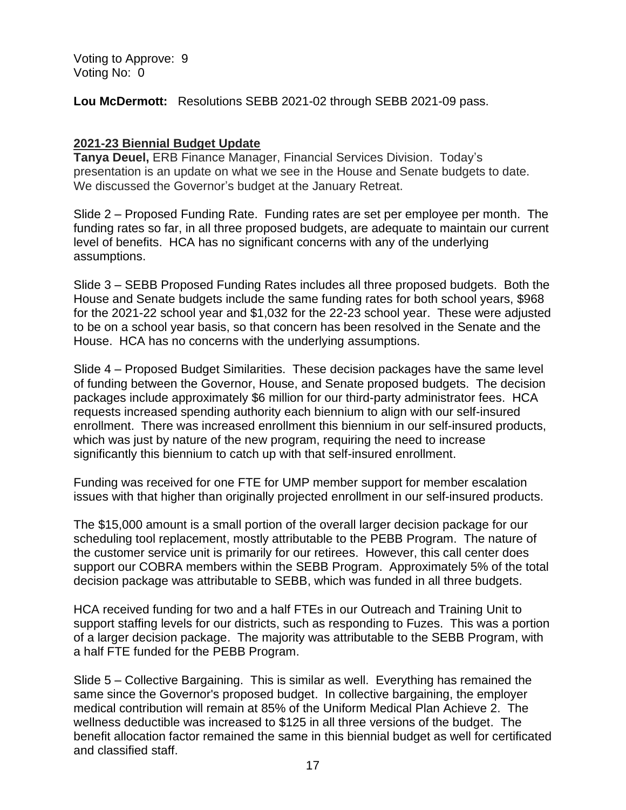Voting to Approve: 9 Voting No: 0

**Lou McDermott:** Resolutions SEBB 2021-02 through SEBB 2021-09 pass.

# **2021-23 Biennial Budget Update**

**Tanya Deuel,** ERB Finance Manager, Financial Services Division. Today's presentation is an update on what we see in the House and Senate budgets to date. We discussed the Governor's budget at the January Retreat.

Slide 2 – Proposed Funding Rate. Funding rates are set per employee per month. The funding rates so far, in all three proposed budgets, are adequate to maintain our current level of benefits. HCA has no significant concerns with any of the underlying assumptions.

Slide 3 – SEBB Proposed Funding Rates includes all three proposed budgets. Both the House and Senate budgets include the same funding rates for both school years, \$968 for the 2021-22 school year and \$1,032 for the 22-23 school year. These were adjusted to be on a school year basis, so that concern has been resolved in the Senate and the House. HCA has no concerns with the underlying assumptions.

Slide 4 – Proposed Budget Similarities. These decision packages have the same level of funding between the Governor, House, and Senate proposed budgets. The decision packages include approximately \$6 million for our third-party administrator fees. HCA requests increased spending authority each biennium to align with our self-insured enrollment. There was increased enrollment this biennium in our self-insured products, which was just by nature of the new program, requiring the need to increase significantly this biennium to catch up with that self-insured enrollment.

Funding was received for one FTE for UMP member support for member escalation issues with that higher than originally projected enrollment in our self-insured products.

The \$15,000 amount is a small portion of the overall larger decision package for our scheduling tool replacement, mostly attributable to the PEBB Program. The nature of the customer service unit is primarily for our retirees. However, this call center does support our COBRA members within the SEBB Program. Approximately 5% of the total decision package was attributable to SEBB, which was funded in all three budgets.

HCA received funding for two and a half FTEs in our Outreach and Training Unit to support staffing levels for our districts, such as responding to Fuzes. This was a portion of a larger decision package. The majority was attributable to the SEBB Program, with a half FTE funded for the PEBB Program.

Slide 5 – Collective Bargaining. This is similar as well. Everything has remained the same since the Governor's proposed budget. In collective bargaining, the employer medical contribution will remain at 85% of the Uniform Medical Plan Achieve 2. The wellness deductible was increased to \$125 in all three versions of the budget. The benefit allocation factor remained the same in this biennial budget as well for certificated and classified staff.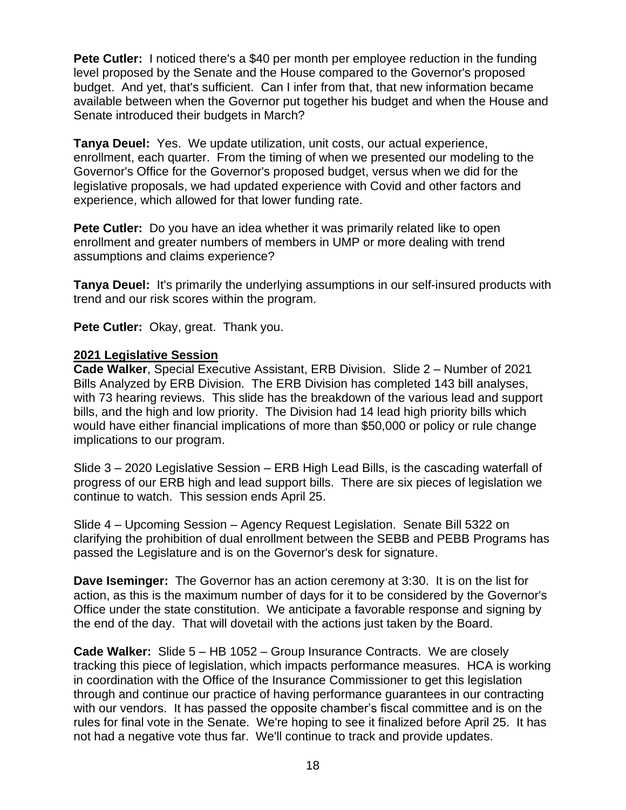**Pete Cutler:** I noticed there's a \$40 per month per employee reduction in the funding level proposed by the Senate and the House compared to the Governor's proposed budget. And yet, that's sufficient. Can I infer from that, that new information became available between when the Governor put together his budget and when the House and Senate introduced their budgets in March?

**Tanya Deuel:** Yes. We update utilization, unit costs, our actual experience, enrollment, each quarter. From the timing of when we presented our modeling to the Governor's Office for the Governor's proposed budget, versus when we did for the legislative proposals, we had updated experience with Covid and other factors and experience, which allowed for that lower funding rate.

**Pete Cutler:** Do you have an idea whether it was primarily related like to open enrollment and greater numbers of members in UMP or more dealing with trend assumptions and claims experience?

**Tanya Deuel:** It's primarily the underlying assumptions in our self-insured products with trend and our risk scores within the program.

**Pete Cutler:** Okay, great. Thank you.

# **2021 Legislative Session**

**Cade Walker**, Special Executive Assistant, ERB Division. Slide 2 – Number of 2021 Bills Analyzed by ERB Division. The ERB Division has completed 143 bill analyses, with 73 hearing reviews. This slide has the breakdown of the various lead and support bills, and the high and low priority. The Division had 14 lead high priority bills which would have either financial implications of more than \$50,000 or policy or rule change implications to our program.

Slide 3 – 2020 Legislative Session – ERB High Lead Bills, is the cascading waterfall of progress of our ERB high and lead support bills. There are six pieces of legislation we continue to watch. This session ends April 25.

Slide 4 – Upcoming Session – Agency Request Legislation. Senate Bill 5322 on clarifying the prohibition of dual enrollment between the SEBB and PEBB Programs has passed the Legislature and is on the Governor's desk for signature.

**Dave Iseminger:** The Governor has an action ceremony at 3:30. It is on the list for action, as this is the maximum number of days for it to be considered by the Governor's Office under the state constitution. We anticipate a favorable response and signing by the end of the day. That will dovetail with the actions just taken by the Board.

**Cade Walker:** Slide 5 – HB 1052 – Group Insurance Contracts. We are closely tracking this piece of legislation, which impacts performance measures. HCA is working in coordination with the Office of the Insurance Commissioner to get this legislation through and continue our practice of having performance guarantees in our contracting with our vendors. It has passed the opposite chamber's fiscal committee and is on the rules for final vote in the Senate. We're hoping to see it finalized before April 25. It has not had a negative vote thus far. We'll continue to track and provide updates.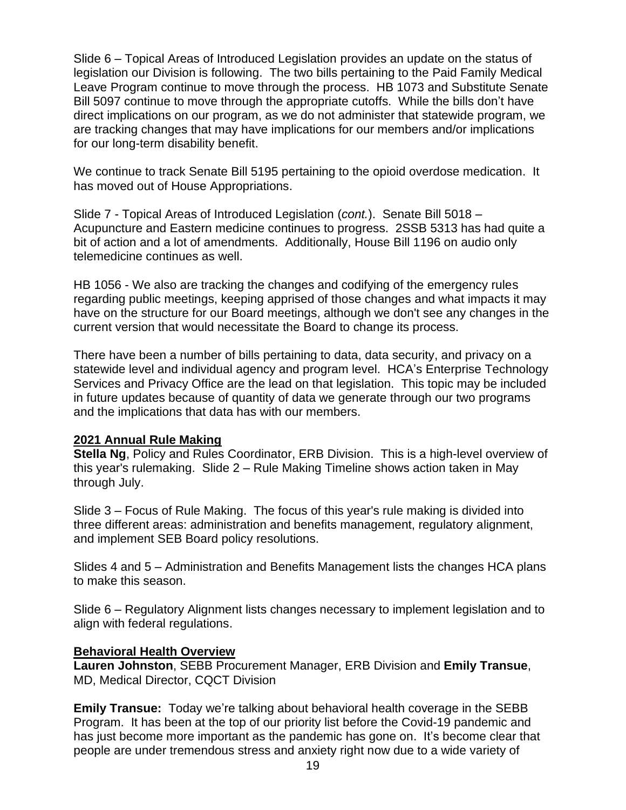Slide 6 – Topical Areas of Introduced Legislation provides an update on the status of legislation our Division is following. The two bills pertaining to the Paid Family Medical Leave Program continue to move through the process. HB 1073 and Substitute Senate Bill 5097 continue to move through the appropriate cutoffs. While the bills don't have direct implications on our program, as we do not administer that statewide program, we are tracking changes that may have implications for our members and/or implications for our long-term disability benefit.

We continue to track Senate Bill 5195 pertaining to the opioid overdose medication. It has moved out of House Appropriations.

Slide 7 - Topical Areas of Introduced Legislation (*cont.*). Senate Bill 5018 – Acupuncture and Eastern medicine continues to progress. 2SSB 5313 has had quite a bit of action and a lot of amendments. Additionally, House Bill 1196 on audio only telemedicine continues as well.

HB 1056 - We also are tracking the changes and codifying of the emergency rules regarding public meetings, keeping apprised of those changes and what impacts it may have on the structure for our Board meetings, although we don't see any changes in the current version that would necessitate the Board to change its process.

There have been a number of bills pertaining to data, data security, and privacy on a statewide level and individual agency and program level. HCA's Enterprise Technology Services and Privacy Office are the lead on that legislation. This topic may be included in future updates because of quantity of data we generate through our two programs and the implications that data has with our members.

# **2021 Annual Rule Making**

**Stella Ng**, Policy and Rules Coordinator, ERB Division. This is a high-level overview of this year's rulemaking. Slide 2 – Rule Making Timeline shows action taken in May through July.

Slide 3 – Focus of Rule Making. The focus of this year's rule making is divided into three different areas: administration and benefits management, regulatory alignment, and implement SEB Board policy resolutions.

Slides 4 and 5 – Administration and Benefits Management lists the changes HCA plans to make this season.

Slide 6 – Regulatory Alignment lists changes necessary to implement legislation and to align with federal regulations.

# **Behavioral Health Overview**

**Lauren Johnston**, SEBB Procurement Manager, ERB Division and **Emily Transue**, MD, Medical Director, CQCT Division

**Emily Transue:** Today we're talking about behavioral health coverage in the SEBB Program. It has been at the top of our priority list before the Covid-19 pandemic and has just become more important as the pandemic has gone on. It's become clear that people are under tremendous stress and anxiety right now due to a wide variety of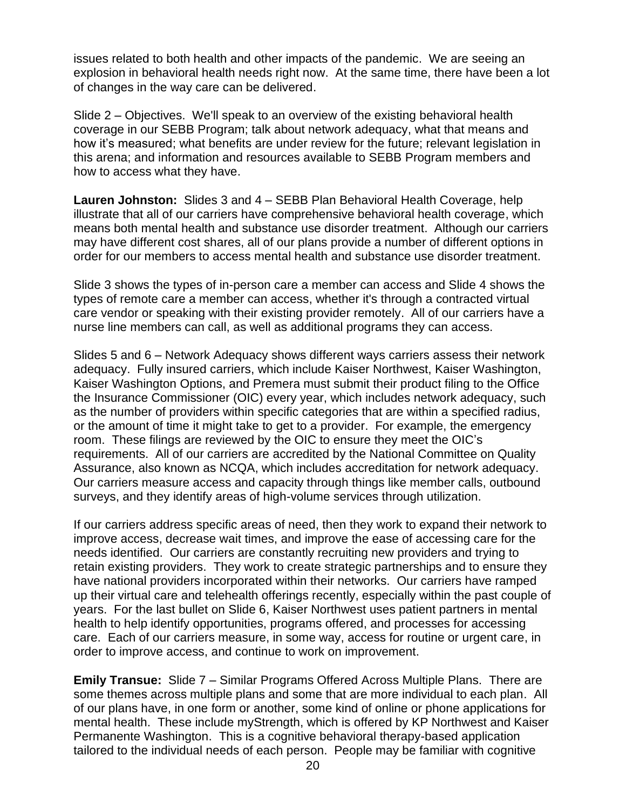issues related to both health and other impacts of the pandemic. We are seeing an explosion in behavioral health needs right now. At the same time, there have been a lot of changes in the way care can be delivered.

Slide 2 – Objectives. We'll speak to an overview of the existing behavioral health coverage in our SEBB Program; talk about network adequacy, what that means and how it's measured; what benefits are under review for the future; relevant legislation in this arena; and information and resources available to SEBB Program members and how to access what they have.

**Lauren Johnston:** Slides 3 and 4 – SEBB Plan Behavioral Health Coverage, help illustrate that all of our carriers have comprehensive behavioral health coverage, which means both mental health and substance use disorder treatment. Although our carriers may have different cost shares, all of our plans provide a number of different options in order for our members to access mental health and substance use disorder treatment.

Slide 3 shows the types of in-person care a member can access and Slide 4 shows the types of remote care a member can access, whether it's through a contracted virtual care vendor or speaking with their existing provider remotely. All of our carriers have a nurse line members can call, as well as additional programs they can access.

Slides 5 and 6 – Network Adequacy shows different ways carriers assess their network adequacy. Fully insured carriers, which include Kaiser Northwest, Kaiser Washington, Kaiser Washington Options, and Premera must submit their product filing to the Office the Insurance Commissioner (OIC) every year, which includes network adequacy, such as the number of providers within specific categories that are within a specified radius, or the amount of time it might take to get to a provider. For example, the emergency room. These filings are reviewed by the OIC to ensure they meet the OIC's requirements. All of our carriers are accredited by the National Committee on Quality Assurance, also known as NCQA, which includes accreditation for network adequacy. Our carriers measure access and capacity through things like member calls, outbound surveys, and they identify areas of high-volume services through utilization.

If our carriers address specific areas of need, then they work to expand their network to improve access, decrease wait times, and improve the ease of accessing care for the needs identified. Our carriers are constantly recruiting new providers and trying to retain existing providers. They work to create strategic partnerships and to ensure they have national providers incorporated within their networks. Our carriers have ramped up their virtual care and telehealth offerings recently, especially within the past couple of years. For the last bullet on Slide 6, Kaiser Northwest uses patient partners in mental health to help identify opportunities, programs offered, and processes for accessing care. Each of our carriers measure, in some way, access for routine or urgent care, in order to improve access, and continue to work on improvement.

**Emily Transue:** Slide 7 – Similar Programs Offered Across Multiple Plans. There are some themes across multiple plans and some that are more individual to each plan. All of our plans have, in one form or another, some kind of online or phone applications for mental health. These include myStrength, which is offered by KP Northwest and Kaiser Permanente Washington. This is a cognitive behavioral therapy-based application tailored to the individual needs of each person. People may be familiar with cognitive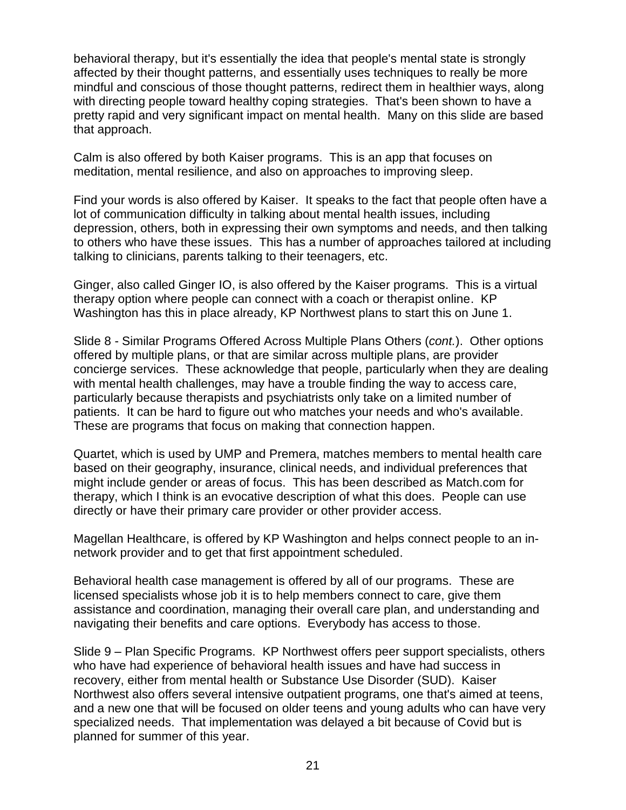behavioral therapy, but it's essentially the idea that people's mental state is strongly affected by their thought patterns, and essentially uses techniques to really be more mindful and conscious of those thought patterns, redirect them in healthier ways, along with directing people toward healthy coping strategies. That's been shown to have a pretty rapid and very significant impact on mental health. Many on this slide are based that approach.

Calm is also offered by both Kaiser programs. This is an app that focuses on meditation, mental resilience, and also on approaches to improving sleep.

Find your words is also offered by Kaiser. It speaks to the fact that people often have a lot of communication difficulty in talking about mental health issues, including depression, others, both in expressing their own symptoms and needs, and then talking to others who have these issues. This has a number of approaches tailored at including talking to clinicians, parents talking to their teenagers, etc.

Ginger, also called Ginger IO, is also offered by the Kaiser programs. This is a virtual therapy option where people can connect with a coach or therapist online. KP Washington has this in place already, KP Northwest plans to start this on June 1.

Slide 8 - Similar Programs Offered Across Multiple Plans Others (*cont.*). Other options offered by multiple plans, or that are similar across multiple plans, are provider concierge services. These acknowledge that people, particularly when they are dealing with mental health challenges, may have a trouble finding the way to access care, particularly because therapists and psychiatrists only take on a limited number of patients. It can be hard to figure out who matches your needs and who's available. These are programs that focus on making that connection happen.

Quartet, which is used by UMP and Premera, matches members to mental health care based on their geography, insurance, clinical needs, and individual preferences that might include gender or areas of focus. This has been described as Match.com for therapy, which I think is an evocative description of what this does. People can use directly or have their primary care provider or other provider access.

Magellan Healthcare, is offered by KP Washington and helps connect people to an innetwork provider and to get that first appointment scheduled.

Behavioral health case management is offered by all of our programs. These are licensed specialists whose job it is to help members connect to care, give them assistance and coordination, managing their overall care plan, and understanding and navigating their benefits and care options. Everybody has access to those.

Slide 9 – Plan Specific Programs. KP Northwest offers peer support specialists, others who have had experience of behavioral health issues and have had success in recovery, either from mental health or Substance Use Disorder (SUD). Kaiser Northwest also offers several intensive outpatient programs, one that's aimed at teens, and a new one that will be focused on older teens and young adults who can have very specialized needs. That implementation was delayed a bit because of Covid but is planned for summer of this year.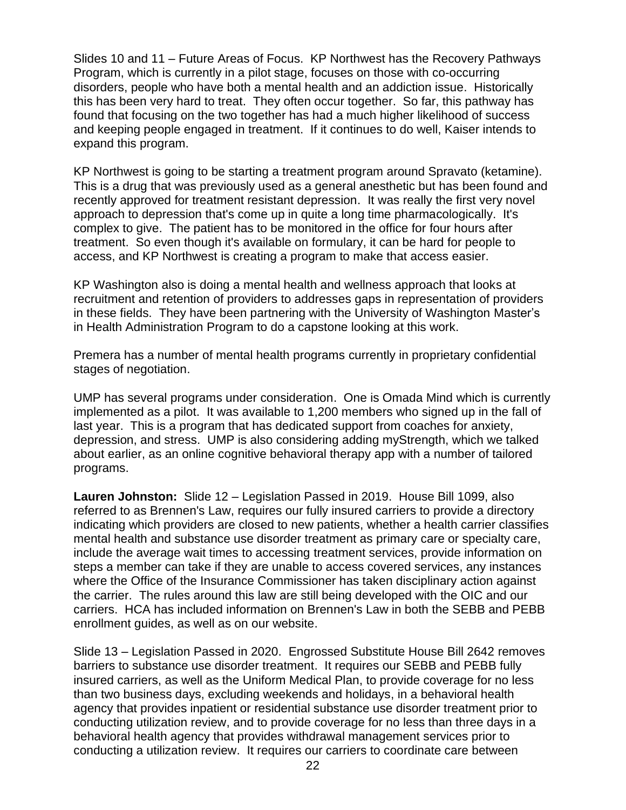Slides 10 and 11 – Future Areas of Focus. KP Northwest has the Recovery Pathways Program, which is currently in a pilot stage, focuses on those with co-occurring disorders, people who have both a mental health and an addiction issue. Historically this has been very hard to treat. They often occur together. So far, this pathway has found that focusing on the two together has had a much higher likelihood of success and keeping people engaged in treatment. If it continues to do well, Kaiser intends to expand this program.

KP Northwest is going to be starting a treatment program around Spravato (ketamine). This is a drug that was previously used as a general anesthetic but has been found and recently approved for treatment resistant depression. It was really the first very novel approach to depression that's come up in quite a long time pharmacologically. It's complex to give. The patient has to be monitored in the office for four hours after treatment. So even though it's available on formulary, it can be hard for people to access, and KP Northwest is creating a program to make that access easier.

KP Washington also is doing a mental health and wellness approach that looks at recruitment and retention of providers to addresses gaps in representation of providers in these fields. They have been partnering with the University of Washington Master's in Health Administration Program to do a capstone looking at this work.

Premera has a number of mental health programs currently in proprietary confidential stages of negotiation.

UMP has several programs under consideration. One is Omada Mind which is currently implemented as a pilot. It was available to 1,200 members who signed up in the fall of last year. This is a program that has dedicated support from coaches for anxiety, depression, and stress. UMP is also considering adding myStrength, which we talked about earlier, as an online cognitive behavioral therapy app with a number of tailored programs.

**Lauren Johnston:** Slide 12 – Legislation Passed in 2019. House Bill 1099, also referred to as Brennen's Law, requires our fully insured carriers to provide a directory indicating which providers are closed to new patients, whether a health carrier classifies mental health and substance use disorder treatment as primary care or specialty care, include the average wait times to accessing treatment services, provide information on steps a member can take if they are unable to access covered services, any instances where the Office of the Insurance Commissioner has taken disciplinary action against the carrier. The rules around this law are still being developed with the OIC and our carriers. HCA has included information on Brennen's Law in both the SEBB and PEBB enrollment guides, as well as on our website.

Slide 13 – Legislation Passed in 2020. Engrossed Substitute House Bill 2642 removes barriers to substance use disorder treatment. It requires our SEBB and PEBB fully insured carriers, as well as the Uniform Medical Plan, to provide coverage for no less than two business days, excluding weekends and holidays, in a behavioral health agency that provides inpatient or residential substance use disorder treatment prior to conducting utilization review, and to provide coverage for no less than three days in a behavioral health agency that provides withdrawal management services prior to conducting a utilization review. It requires our carriers to coordinate care between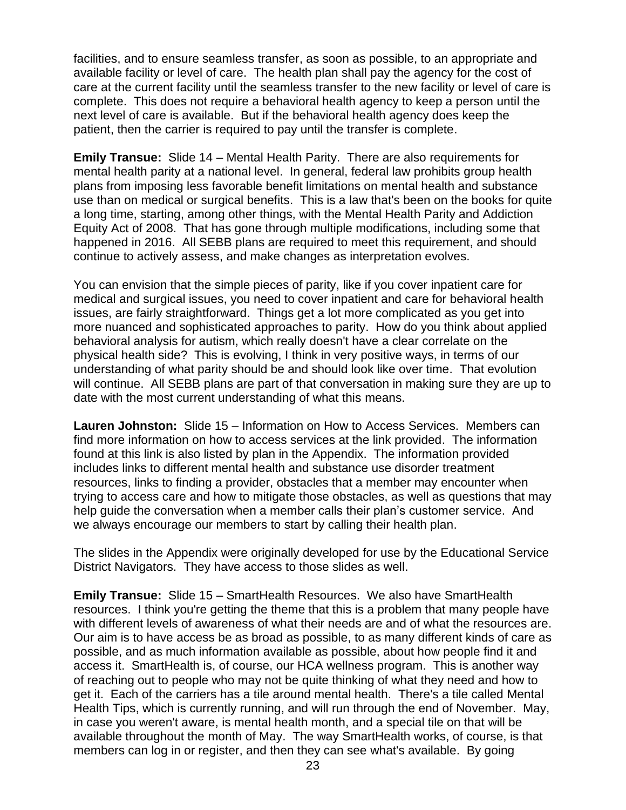facilities, and to ensure seamless transfer, as soon as possible, to an appropriate and available facility or level of care. The health plan shall pay the agency for the cost of care at the current facility until the seamless transfer to the new facility or level of care is complete. This does not require a behavioral health agency to keep a person until the next level of care is available. But if the behavioral health agency does keep the patient, then the carrier is required to pay until the transfer is complete.

**Emily Transue:** Slide 14 – Mental Health Parity. There are also requirements for mental health parity at a national level. In general, federal law prohibits group health plans from imposing less favorable benefit limitations on mental health and substance use than on medical or surgical benefits. This is a law that's been on the books for quite a long time, starting, among other things, with the Mental Health Parity and Addiction Equity Act of 2008. That has gone through multiple modifications, including some that happened in 2016. All SEBB plans are required to meet this requirement, and should continue to actively assess, and make changes as interpretation evolves.

You can envision that the simple pieces of parity, like if you cover inpatient care for medical and surgical issues, you need to cover inpatient and care for behavioral health issues, are fairly straightforward. Things get a lot more complicated as you get into more nuanced and sophisticated approaches to parity. How do you think about applied behavioral analysis for autism, which really doesn't have a clear correlate on the physical health side? This is evolving, I think in very positive ways, in terms of our understanding of what parity should be and should look like over time. That evolution will continue. All SEBB plans are part of that conversation in making sure they are up to date with the most current understanding of what this means.

**Lauren Johnston:** Slide 15 – Information on How to Access Services. Members can find more information on how to access services at the link provided. The information found at this link is also listed by plan in the Appendix. The information provided includes links to different mental health and substance use disorder treatment resources, links to finding a provider, obstacles that a member may encounter when trying to access care and how to mitigate those obstacles, as well as questions that may help guide the conversation when a member calls their plan's customer service. And we always encourage our members to start by calling their health plan.

The slides in the Appendix were originally developed for use by the Educational Service District Navigators. They have access to those slides as well.

**Emily Transue:** Slide 15 – SmartHealth Resources. We also have SmartHealth resources. I think you're getting the theme that this is a problem that many people have with different levels of awareness of what their needs are and of what the resources are. Our aim is to have access be as broad as possible, to as many different kinds of care as possible, and as much information available as possible, about how people find it and access it. SmartHealth is, of course, our HCA wellness program. This is another way of reaching out to people who may not be quite thinking of what they need and how to get it. Each of the carriers has a tile around mental health. There's a tile called Mental Health Tips, which is currently running, and will run through the end of November. May, in case you weren't aware, is mental health month, and a special tile on that will be available throughout the month of May. The way SmartHealth works, of course, is that members can log in or register, and then they can see what's available. By going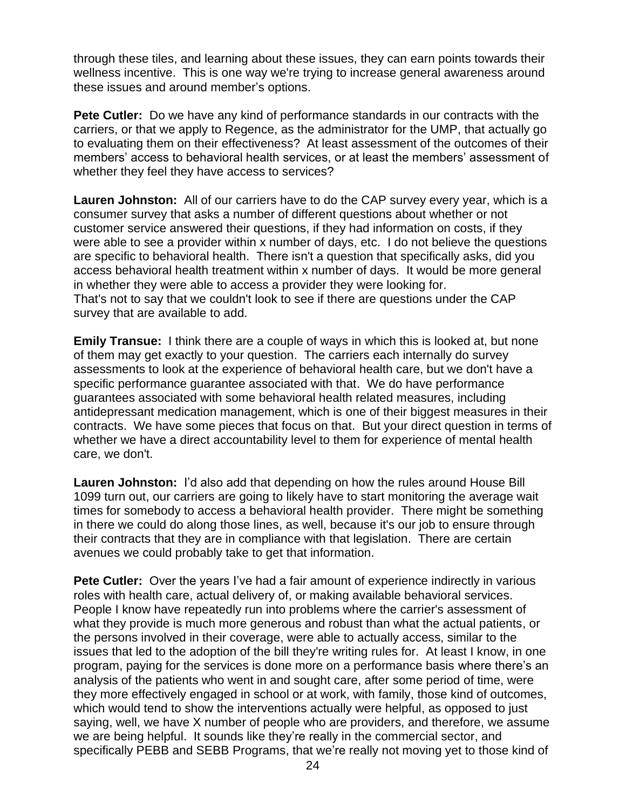through these tiles, and learning about these issues, they can earn points towards their wellness incentive. This is one way we're trying to increase general awareness around these issues and around member's options.

**Pete Cutler:** Do we have any kind of performance standards in our contracts with the carriers, or that we apply to Regence, as the administrator for the UMP, that actually go to evaluating them on their effectiveness? At least assessment of the outcomes of their members' access to behavioral health services, or at least the members' assessment of whether they feel they have access to services?

**Lauren Johnston:** All of our carriers have to do the CAP survey every year, which is a consumer survey that asks a number of different questions about whether or not customer service answered their questions, if they had information on costs, if they were able to see a provider within x number of days, etc. I do not believe the questions are specific to behavioral health. There isn't a question that specifically asks, did you access behavioral health treatment within x number of days. It would be more general in whether they were able to access a provider they were looking for. That's not to say that we couldn't look to see if there are questions under the CAP survey that are available to add.

**Emily Transue:** I think there are a couple of ways in which this is looked at, but none of them may get exactly to your question. The carriers each internally do survey assessments to look at the experience of behavioral health care, but we don't have a specific performance guarantee associated with that. We do have performance guarantees associated with some behavioral health related measures, including antidepressant medication management, which is one of their biggest measures in their contracts. We have some pieces that focus on that. But your direct question in terms of whether we have a direct accountability level to them for experience of mental health care, we don't.

**Lauren Johnston:** I'd also add that depending on how the rules around House Bill 1099 turn out, our carriers are going to likely have to start monitoring the average wait times for somebody to access a behavioral health provider. There might be something in there we could do along those lines, as well, because it's our job to ensure through their contracts that they are in compliance with that legislation. There are certain avenues we could probably take to get that information.

**Pete Cutler:** Over the years I've had a fair amount of experience indirectly in various roles with health care, actual delivery of, or making available behavioral services. People I know have repeatedly run into problems where the carrier's assessment of what they provide is much more generous and robust than what the actual patients, or the persons involved in their coverage, were able to actually access, similar to the issues that led to the adoption of the bill they're writing rules for. At least I know, in one program, paying for the services is done more on a performance basis where there's an analysis of the patients who went in and sought care, after some period of time, were they more effectively engaged in school or at work, with family, those kind of outcomes, which would tend to show the interventions actually were helpful, as opposed to just saying, well, we have X number of people who are providers, and therefore, we assume we are being helpful. It sounds like they're really in the commercial sector, and specifically PEBB and SEBB Programs, that we're really not moving yet to those kind of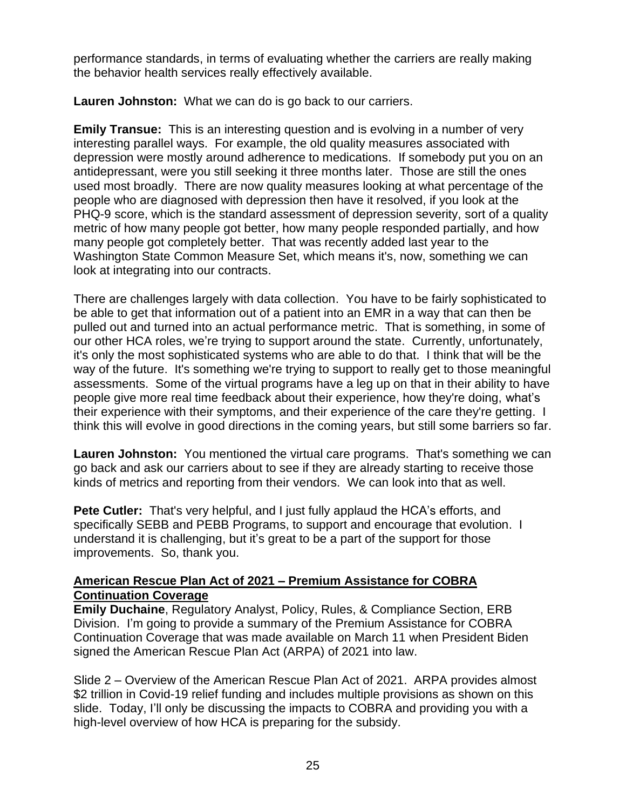performance standards, in terms of evaluating whether the carriers are really making the behavior health services really effectively available.

**Lauren Johnston:** What we can do is go back to our carriers.

**Emily Transue:** This is an interesting question and is evolving in a number of very interesting parallel ways. For example, the old quality measures associated with depression were mostly around adherence to medications. If somebody put you on an antidepressant, were you still seeking it three months later. Those are still the ones used most broadly. There are now quality measures looking at what percentage of the people who are diagnosed with depression then have it resolved, if you look at the PHQ-9 score, which is the standard assessment of depression severity, sort of a quality metric of how many people got better, how many people responded partially, and how many people got completely better. That was recently added last year to the Washington State Common Measure Set, which means it's, now, something we can look at integrating into our contracts.

There are challenges largely with data collection. You have to be fairly sophisticated to be able to get that information out of a patient into an EMR in a way that can then be pulled out and turned into an actual performance metric. That is something, in some of our other HCA roles, we're trying to support around the state. Currently, unfortunately, it's only the most sophisticated systems who are able to do that. I think that will be the way of the future. It's something we're trying to support to really get to those meaningful assessments. Some of the virtual programs have a leg up on that in their ability to have people give more real time feedback about their experience, how they're doing, what's their experience with their symptoms, and their experience of the care they're getting. I think this will evolve in good directions in the coming years, but still some barriers so far.

**Lauren Johnston:** You mentioned the virtual care programs. That's something we can go back and ask our carriers about to see if they are already starting to receive those kinds of metrics and reporting from their vendors. We can look into that as well.

**Pete Cutler:** That's very helpful, and I just fully applaud the HCA's efforts, and specifically SEBB and PEBB Programs, to support and encourage that evolution. I understand it is challenging, but it's great to be a part of the support for those improvements. So, thank you.

# **American Rescue Plan Act of 2021 – Premium Assistance for COBRA Continuation Coverage**

**Emily Duchaine**, Regulatory Analyst, Policy, Rules, & Compliance Section, ERB Division. I'm going to provide a summary of the Premium Assistance for COBRA Continuation Coverage that was made available on March 11 when President Biden signed the American Rescue Plan Act (ARPA) of 2021 into law.

Slide 2 – Overview of the American Rescue Plan Act of 2021. ARPA provides almost \$2 trillion in Covid-19 relief funding and includes multiple provisions as shown on this slide. Today, I'll only be discussing the impacts to COBRA and providing you with a high-level overview of how HCA is preparing for the subsidy.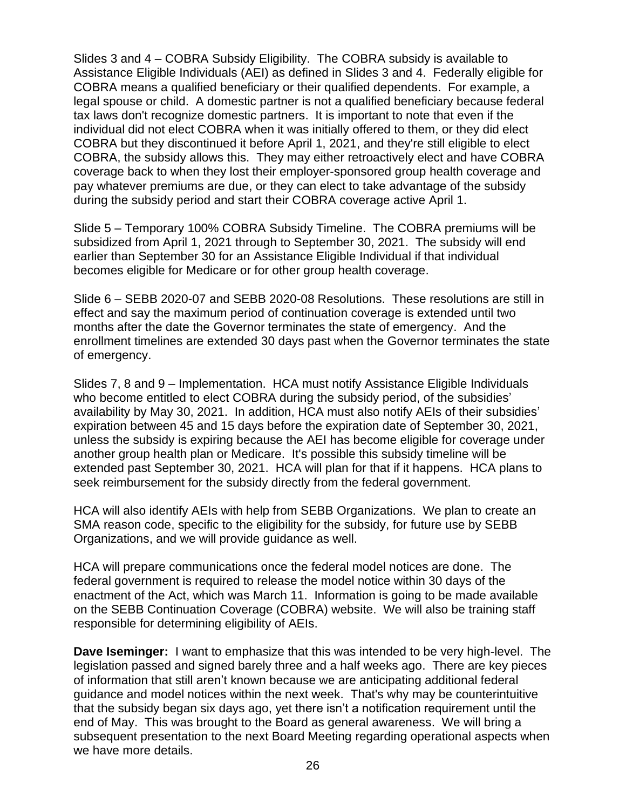Slides 3 and 4 – COBRA Subsidy Eligibility. The COBRA subsidy is available to Assistance Eligible Individuals (AEI) as defined in Slides 3 and 4. Federally eligible for COBRA means a qualified beneficiary or their qualified dependents. For example, a legal spouse or child. A domestic partner is not a qualified beneficiary because federal tax laws don't recognize domestic partners. It is important to note that even if the individual did not elect COBRA when it was initially offered to them, or they did elect COBRA but they discontinued it before April 1, 2021, and they're still eligible to elect COBRA, the subsidy allows this. They may either retroactively elect and have COBRA coverage back to when they lost their employer-sponsored group health coverage and pay whatever premiums are due, or they can elect to take advantage of the subsidy during the subsidy period and start their COBRA coverage active April 1.

Slide 5 – Temporary 100% COBRA Subsidy Timeline. The COBRA premiums will be subsidized from April 1, 2021 through to September 30, 2021. The subsidy will end earlier than September 30 for an Assistance Eligible Individual if that individual becomes eligible for Medicare or for other group health coverage.

Slide 6 – SEBB 2020-07 and SEBB 2020-08 Resolutions. These resolutions are still in effect and say the maximum period of continuation coverage is extended until two months after the date the Governor terminates the state of emergency. And the enrollment timelines are extended 30 days past when the Governor terminates the state of emergency.

Slides 7, 8 and 9 – Implementation. HCA must notify Assistance Eligible Individuals who become entitled to elect COBRA during the subsidy period, of the subsidies' availability by May 30, 2021. In addition, HCA must also notify AEIs of their subsidies' expiration between 45 and 15 days before the expiration date of September 30, 2021, unless the subsidy is expiring because the AEI has become eligible for coverage under another group health plan or Medicare. It's possible this subsidy timeline will be extended past September 30, 2021. HCA will plan for that if it happens. HCA plans to seek reimbursement for the subsidy directly from the federal government.

HCA will also identify AEIs with help from SEBB Organizations. We plan to create an SMA reason code, specific to the eligibility for the subsidy, for future use by SEBB Organizations, and we will provide guidance as well.

HCA will prepare communications once the federal model notices are done. The federal government is required to release the model notice within 30 days of the enactment of the Act, which was March 11. Information is going to be made available on the SEBB Continuation Coverage (COBRA) website. We will also be training staff responsible for determining eligibility of AEIs.

**Dave Iseminger:** I want to emphasize that this was intended to be very high-level. The legislation passed and signed barely three and a half weeks ago. There are key pieces of information that still aren't known because we are anticipating additional federal guidance and model notices within the next week. That's why may be counterintuitive that the subsidy began six days ago, yet there isn't a notification requirement until the end of May. This was brought to the Board as general awareness. We will bring a subsequent presentation to the next Board Meeting regarding operational aspects when we have more details.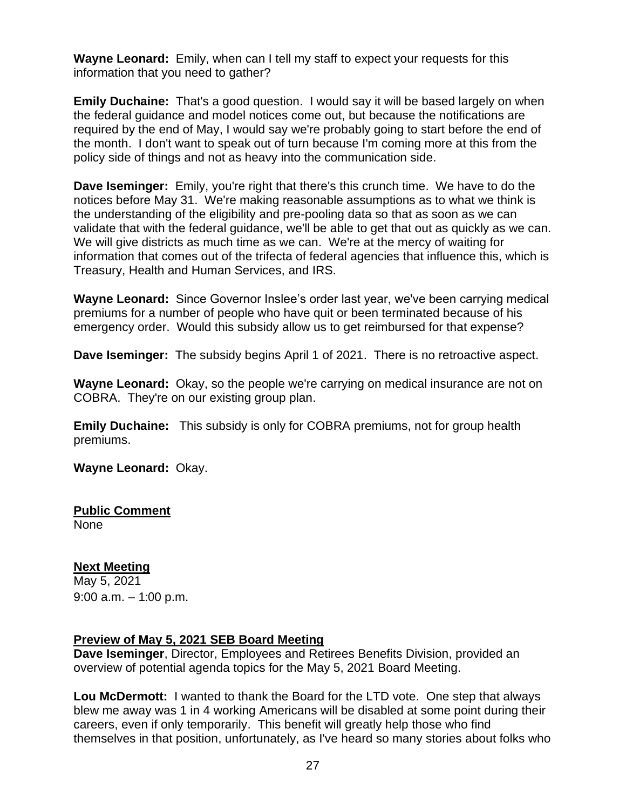**Wayne Leonard:** Emily, when can I tell my staff to expect your requests for this information that you need to gather?

**Emily Duchaine:** That's a good question. I would say it will be based largely on when the federal guidance and model notices come out, but because the notifications are required by the end of May, I would say we're probably going to start before the end of the month. I don't want to speak out of turn because I'm coming more at this from the policy side of things and not as heavy into the communication side.

**Dave Iseminger:** Emily, you're right that there's this crunch time. We have to do the notices before May 31. We're making reasonable assumptions as to what we think is the understanding of the eligibility and pre-pooling data so that as soon as we can validate that with the federal guidance, we'll be able to get that out as quickly as we can. We will give districts as much time as we can. We're at the mercy of waiting for information that comes out of the trifecta of federal agencies that influence this, which is Treasury, Health and Human Services, and IRS.

**Wayne Leonard:** Since Governor Inslee's order last year, we've been carrying medical premiums for a number of people who have quit or been terminated because of his emergency order. Would this subsidy allow us to get reimbursed for that expense?

**Dave Iseminger:** The subsidy begins April 1 of 2021. There is no retroactive aspect.

**Wayne Leonard:** Okay, so the people we're carrying on medical insurance are not on COBRA. They're on our existing group plan.

**Emily Duchaine:** This subsidy is only for COBRA premiums, not for group health premiums.

**Wayne Leonard:** Okay.

# **Public Comment**

None

# **Next Meeting**

May 5, 2021 9:00 a.m. – 1:00 p.m.

# **Preview of May 5, 2021 SEB Board Meeting**

**Dave Iseminger**, Director, Employees and Retirees Benefits Division, provided an overview of potential agenda topics for the May 5, 2021 Board Meeting.

**Lou McDermott:** I wanted to thank the Board for the LTD vote. One step that always blew me away was 1 in 4 working Americans will be disabled at some point during their careers, even if only temporarily. This benefit will greatly help those who find themselves in that position, unfortunately, as I've heard so many stories about folks who